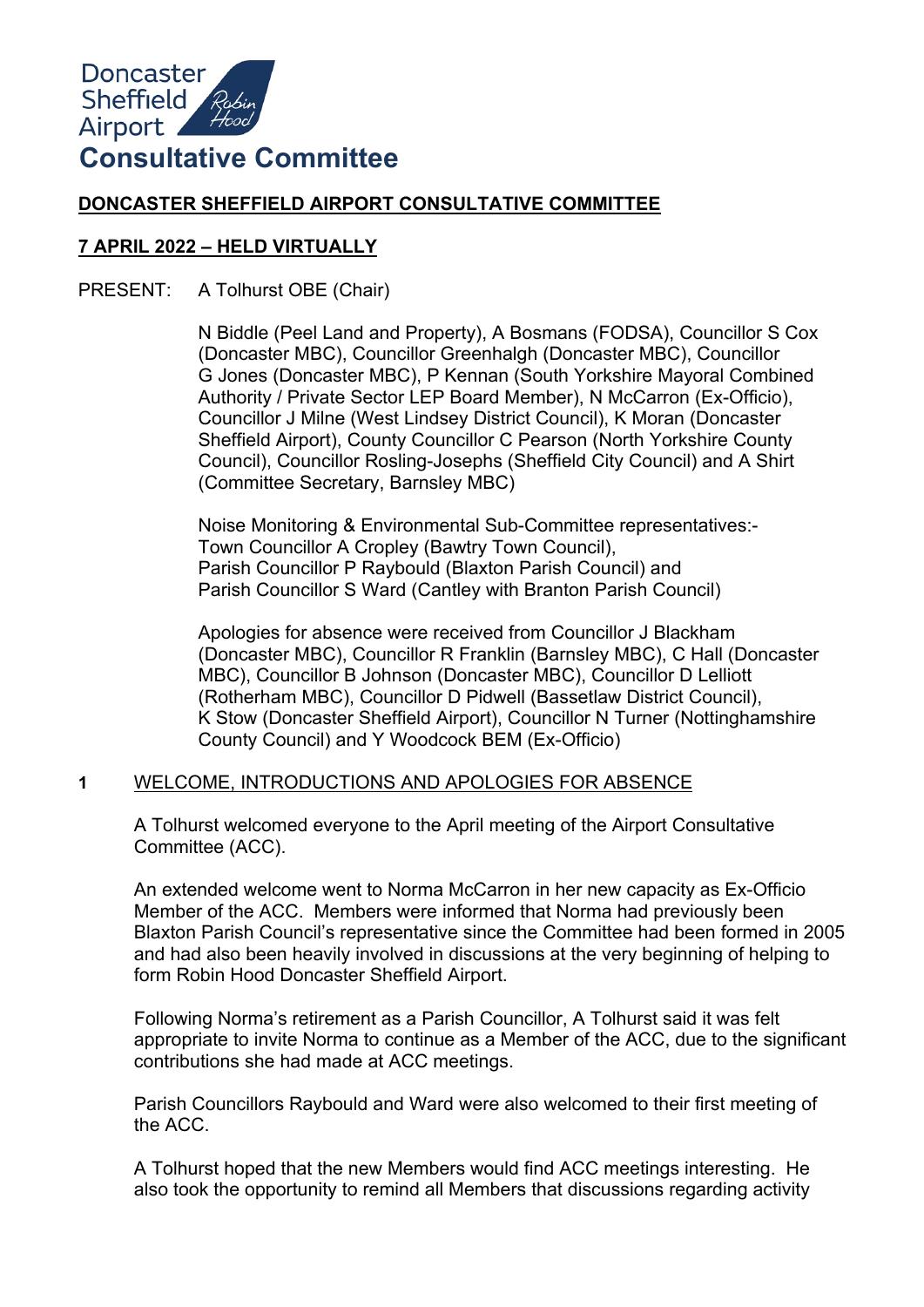

# **DONCASTER SHEFFIELD AIRPORT CONSULTATIVE COMMITTEE**

## **7 APRIL 2022 – HELD VIRTUALLY**

PRESENT: A Tolhurst OBE (Chair)

N Biddle (Peel Land and Property), A Bosmans (FODSA), Councillor S Cox (Doncaster MBC), Councillor Greenhalgh (Doncaster MBC), Councillor G Jones (Doncaster MBC), P Kennan (South Yorkshire Mayoral Combined Authority / Private Sector LEP Board Member), N McCarron (Ex-Officio), Councillor J Milne (West Lindsey District Council), K Moran (Doncaster Sheffield Airport), County Councillor C Pearson (North Yorkshire County Council), Councillor Rosling-Josephs (Sheffield City Council) and A Shirt (Committee Secretary, Barnsley MBC)

Noise Monitoring & Environmental Sub-Committee representatives:- Town Councillor A Cropley (Bawtry Town Council), Parish Councillor P Raybould (Blaxton Parish Council) and Parish Councillor S Ward (Cantley with Branton Parish Council)

Apologies for absence were received from Councillor J Blackham (Doncaster MBC), Councillor R Franklin (Barnsley MBC), C Hall (Doncaster MBC), Councillor B Johnson (Doncaster MBC), Councillor D Lelliott (Rotherham MBC), Councillor D Pidwell (Bassetlaw District Council), K Stow (Doncaster Sheffield Airport), Councillor N Turner (Nottinghamshire County Council) and Y Woodcock BEM (Ex-Officio)

#### **1** WELCOME, INTRODUCTIONS AND APOLOGIES FOR ABSENCE

A Tolhurst welcomed everyone to the April meeting of the Airport Consultative Committee (ACC).

An extended welcome went to Norma McCarron in her new capacity as Ex-Officio Member of the ACC. Members were informed that Norma had previously been Blaxton Parish Council's representative since the Committee had been formed in 2005 and had also been heavily involved in discussions at the very beginning of helping to form Robin Hood Doncaster Sheffield Airport.

Following Norma's retirement as a Parish Councillor, A Tolhurst said it was felt appropriate to invite Norma to continue as a Member of the ACC, due to the significant contributions she had made at ACC meetings.

Parish Councillors Raybould and Ward were also welcomed to their first meeting of the ACC.

A Tolhurst hoped that the new Members would find ACC meetings interesting. He also took the opportunity to remind all Members that discussions regarding activity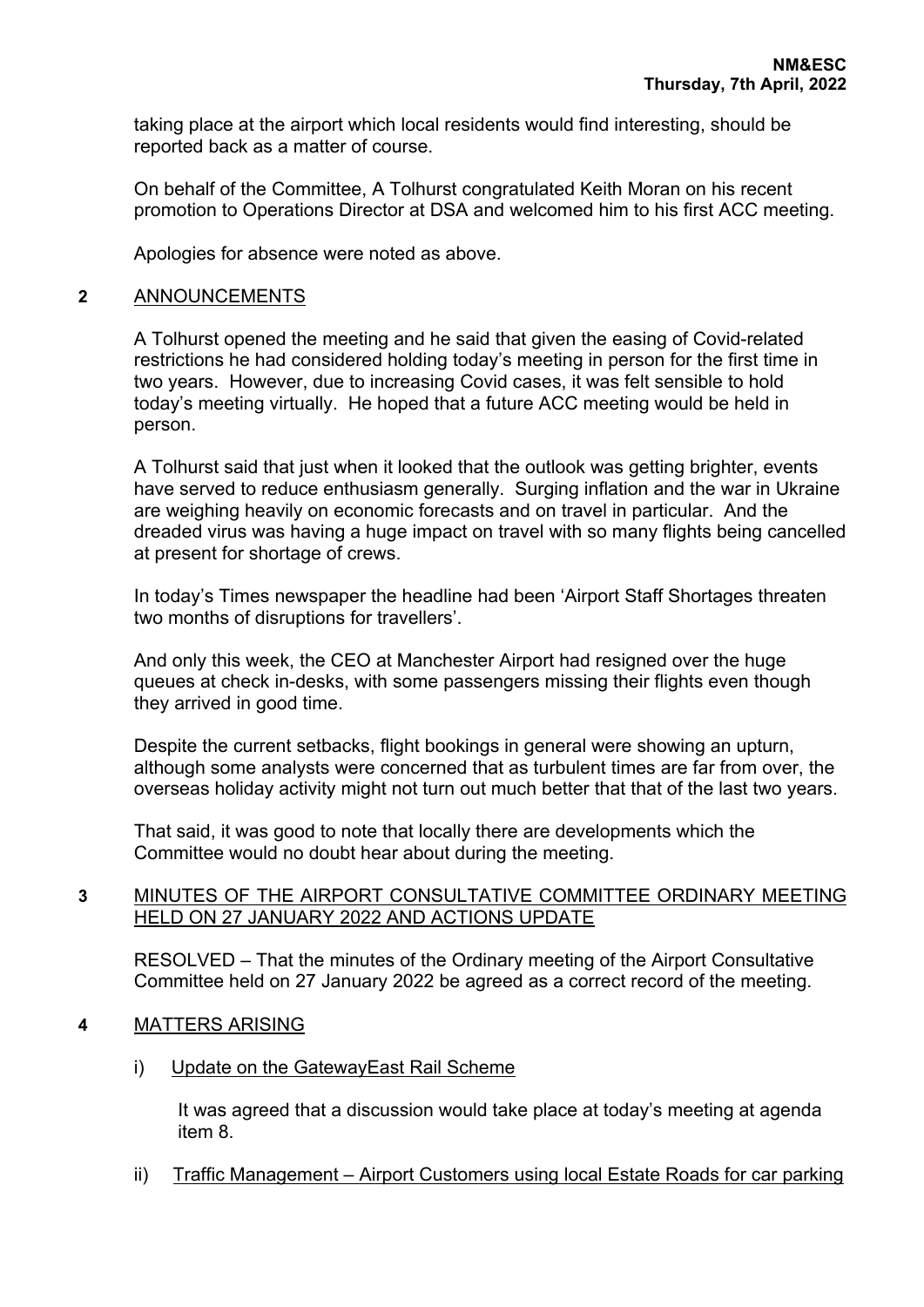taking place at the airport which local residents would find interesting, should be reported back as a matter of course.

On behalf of the Committee, A Tolhurst congratulated Keith Moran on his recent promotion to Operations Director at DSA and welcomed him to his first ACC meeting.

Apologies for absence were noted as above.

#### **2** ANNOUNCEMENTS

A Tolhurst opened the meeting and he said that given the easing of Covid-related restrictions he had considered holding today's meeting in person for the first time in two years. However, due to increasing Covid cases, it was felt sensible to hold today's meeting virtually. He hoped that a future ACC meeting would be held in person.

A Tolhurst said that just when it looked that the outlook was getting brighter, events have served to reduce enthusiasm generally. Surging inflation and the war in Ukraine are weighing heavily on economic forecasts and on travel in particular. And the dreaded virus was having a huge impact on travel with so many flights being cancelled at present for shortage of crews.

In today's Times newspaper the headline had been 'Airport Staff Shortages threaten two months of disruptions for travellers'.

And only this week, the CEO at Manchester Airport had resigned over the huge queues at check in-desks, with some passengers missing their flights even though they arrived in good time.

Despite the current setbacks, flight bookings in general were showing an upturn, although some analysts were concerned that as turbulent times are far from over, the overseas holiday activity might not turn out much better that that of the last two years.

That said, it was good to note that locally there are developments which the Committee would no doubt hear about during the meeting.

## **3** MINUTES OF THE AIRPORT CONSULTATIVE COMMITTEE ORDINARY MEETING HELD ON 27 JANUARY 2022 AND ACTIONS UPDATE

RESOLVED – That the minutes of the Ordinary meeting of the Airport Consultative Committee held on 27 January 2022 be agreed as a correct record of the meeting.

#### **4** MATTERS ARISING

i) Update on the GatewayEast Rail Scheme

It was agreed that a discussion would take place at today's meeting at agenda item 8.

ii) Traffic Management – Airport Customers using local Estate Roads for car parking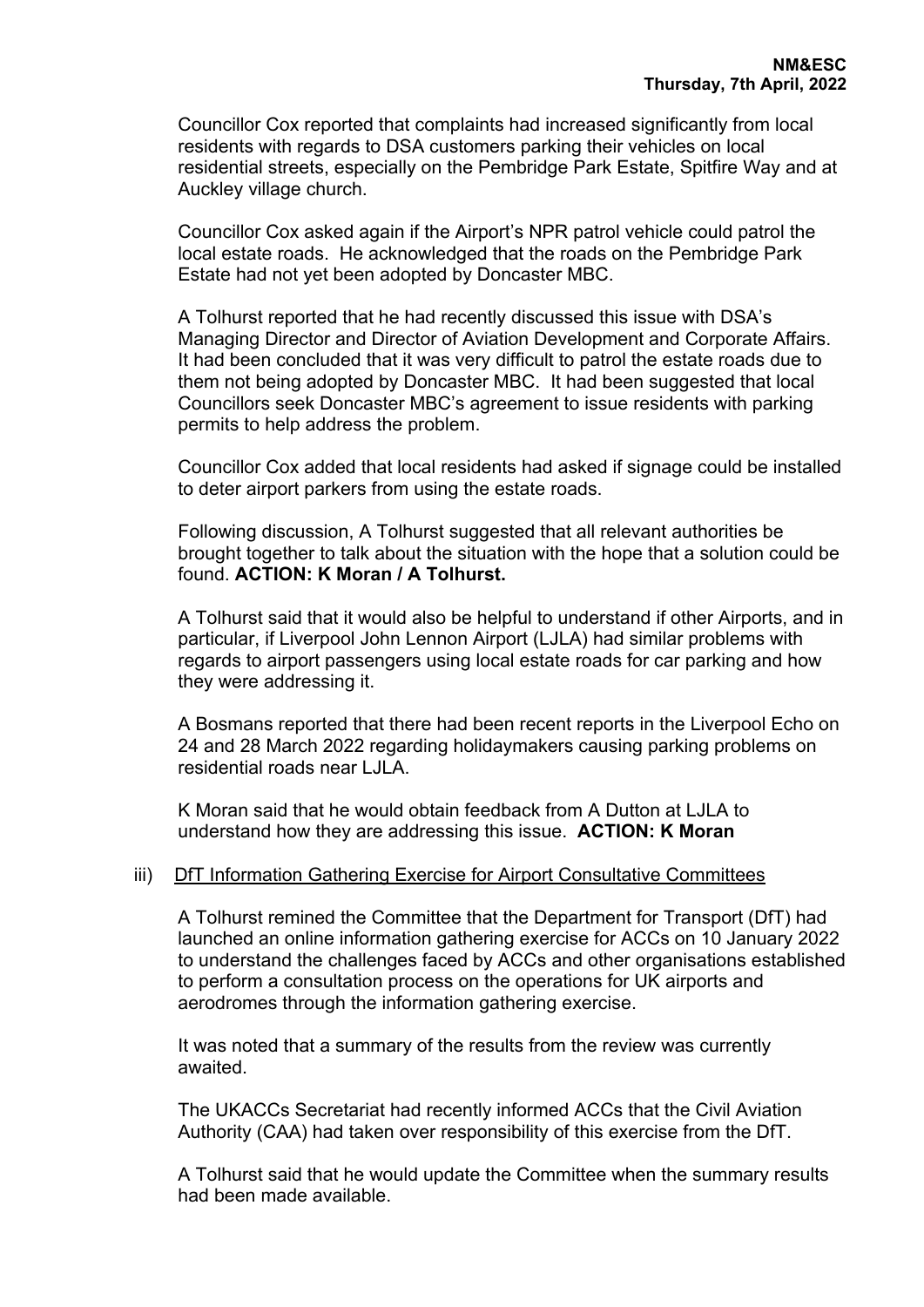Councillor Cox reported that complaints had increased significantly from local residents with regards to DSA customers parking their vehicles on local residential streets, especially on the Pembridge Park Estate, Spitfire Way and at Auckley village church.

Councillor Cox asked again if the Airport's NPR patrol vehicle could patrol the local estate roads. He acknowledged that the roads on the Pembridge Park Estate had not yet been adopted by Doncaster MBC.

A Tolhurst reported that he had recently discussed this issue with DSA's Managing Director and Director of Aviation Development and Corporate Affairs. It had been concluded that it was very difficult to patrol the estate roads due to them not being adopted by Doncaster MBC. It had been suggested that local Councillors seek Doncaster MBC's agreement to issue residents with parking permits to help address the problem.

Councillor Cox added that local residents had asked if signage could be installed to deter airport parkers from using the estate roads.

Following discussion, A Tolhurst suggested that all relevant authorities be brought together to talk about the situation with the hope that a solution could be found. **ACTION: K Moran / A Tolhurst.**

A Tolhurst said that it would also be helpful to understand if other Airports, and in particular, if Liverpool John Lennon Airport (LJLA) had similar problems with regards to airport passengers using local estate roads for car parking and how they were addressing it.

A Bosmans reported that there had been recent reports in the Liverpool Echo on 24 and 28 March 2022 regarding holidaymakers causing parking problems on residential roads near LJLA.

K Moran said that he would obtain feedback from A Dutton at LJLA to understand how they are addressing this issue. **ACTION: K Moran**

#### iii) DfT Information Gathering Exercise for Airport Consultative Committees

A Tolhurst remined the Committee that the Department for Transport (DfT) had launched an online information gathering exercise for ACCs on 10 January 2022 to understand the challenges faced by ACCs and other organisations established to perform a consultation process on the operations for UK airports and aerodromes through the information gathering exercise.

It was noted that a summary of the results from the review was currently awaited.

The UKACCs Secretariat had recently informed ACCs that the Civil Aviation Authority (CAA) had taken over responsibility of this exercise from the DfT.

A Tolhurst said that he would update the Committee when the summary results had been made available.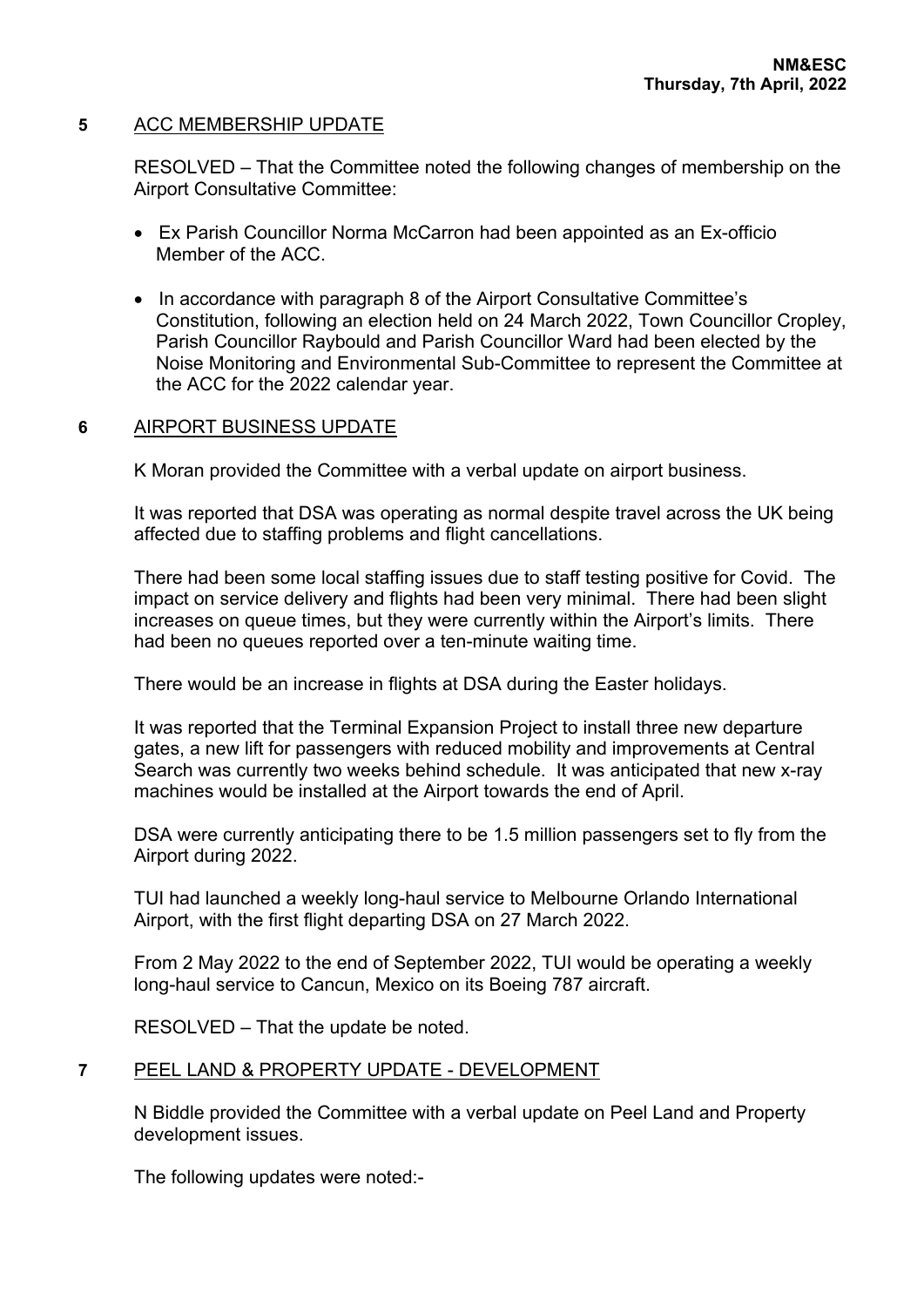## **5** ACC MEMBERSHIP UPDATE

RESOLVED – That the Committee noted the following changes of membership on the Airport Consultative Committee:

- Ex Parish Councillor Norma McCarron had been appointed as an Ex-officio Member of the ACC.
- In accordance with paragraph 8 of the Airport Consultative Committee's Constitution, following an election held on 24 March 2022, Town Councillor Cropley, Parish Councillor Raybould and Parish Councillor Ward had been elected by the Noise Monitoring and Environmental Sub-Committee to represent the Committee at the ACC for the 2022 calendar year.

## **6** AIRPORT BUSINESS UPDATE

K Moran provided the Committee with a verbal update on airport business.

It was reported that DSA was operating as normal despite travel across the UK being affected due to staffing problems and flight cancellations.

There had been some local staffing issues due to staff testing positive for Covid. The impact on service delivery and flights had been very minimal. There had been slight increases on queue times, but they were currently within the Airport's limits. There had been no queues reported over a ten-minute waiting time.

There would be an increase in flights at DSA during the Easter holidays.

It was reported that the Terminal Expansion Project to install three new departure gates, a new lift for passengers with reduced mobility and improvements at Central Search was currently two weeks behind schedule. It was anticipated that new x-ray machines would be installed at the Airport towards the end of April.

DSA were currently anticipating there to be 1.5 million passengers set to fly from the Airport during 2022.

TUI had launched a weekly long-haul service to Melbourne Orlando International Airport, with the first flight departing DSA on 27 March 2022.

From 2 May 2022 to the end of September 2022, TUI would be operating a weekly long-haul service to Cancun, Mexico on its Boeing 787 aircraft.

RESOLVED – That the update be noted.

## **7** PEEL LAND & PROPERTY UPDATE - DEVELOPMENT

N Biddle provided the Committee with a verbal update on Peel Land and Property development issues.

The following updates were noted:-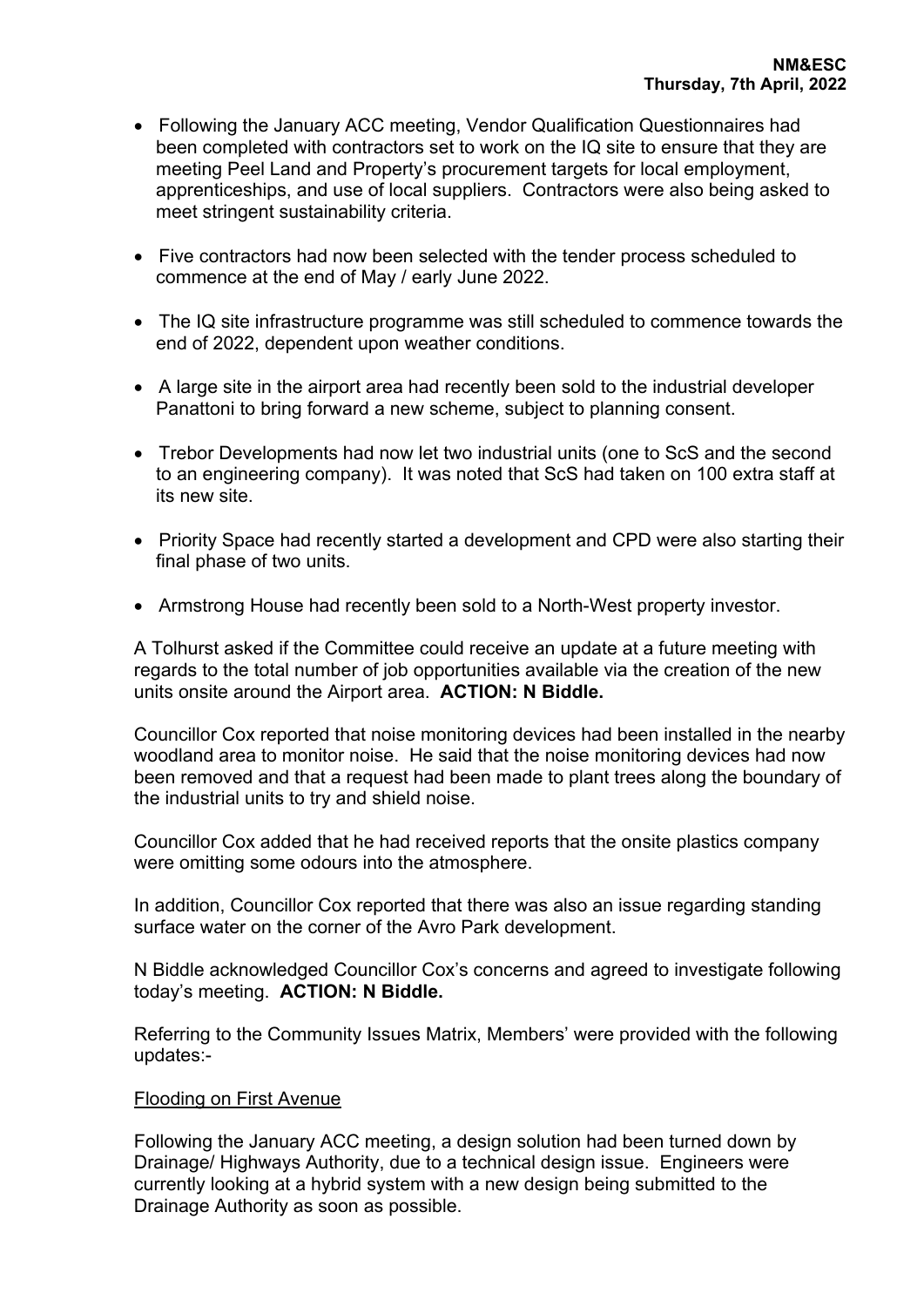- Following the January ACC meeting, Vendor Qualification Questionnaires had been completed with contractors set to work on the IQ site to ensure that they are meeting Peel Land and Property's procurement targets for local employment, apprenticeships, and use of local suppliers. Contractors were also being asked to meet stringent sustainability criteria.
- Five contractors had now been selected with the tender process scheduled to commence at the end of May / early June 2022.
- The IQ site infrastructure programme was still scheduled to commence towards the end of 2022, dependent upon weather conditions.
- A large site in the airport area had recently been sold to the industrial developer Panattoni to bring forward a new scheme, subject to planning consent.
- Trebor Developments had now let two industrial units (one to ScS and the second to an engineering company). It was noted that ScS had taken on 100 extra staff at its new site.
- Priority Space had recently started a development and CPD were also starting their final phase of two units.
- Armstrong House had recently been sold to a North-West property investor.

A Tolhurst asked if the Committee could receive an update at a future meeting with regards to the total number of job opportunities available via the creation of the new units onsite around the Airport area. **ACTION: N Biddle.**

Councillor Cox reported that noise monitoring devices had been installed in the nearby woodland area to monitor noise. He said that the noise monitoring devices had now been removed and that a request had been made to plant trees along the boundary of the industrial units to try and shield noise.

Councillor Cox added that he had received reports that the onsite plastics company were omitting some odours into the atmosphere.

In addition, Councillor Cox reported that there was also an issue regarding standing surface water on the corner of the Avro Park development.

N Biddle acknowledged Councillor Cox's concerns and agreed to investigate following today's meeting. **ACTION: N Biddle.**

Referring to the Community Issues Matrix, Members' were provided with the following updates:-

#### Flooding on First Avenue

Following the January ACC meeting, a design solution had been turned down by Drainage/ Highways Authority, due to a technical design issue. Engineers were currently looking at a hybrid system with a new design being submitted to the Drainage Authority as soon as possible.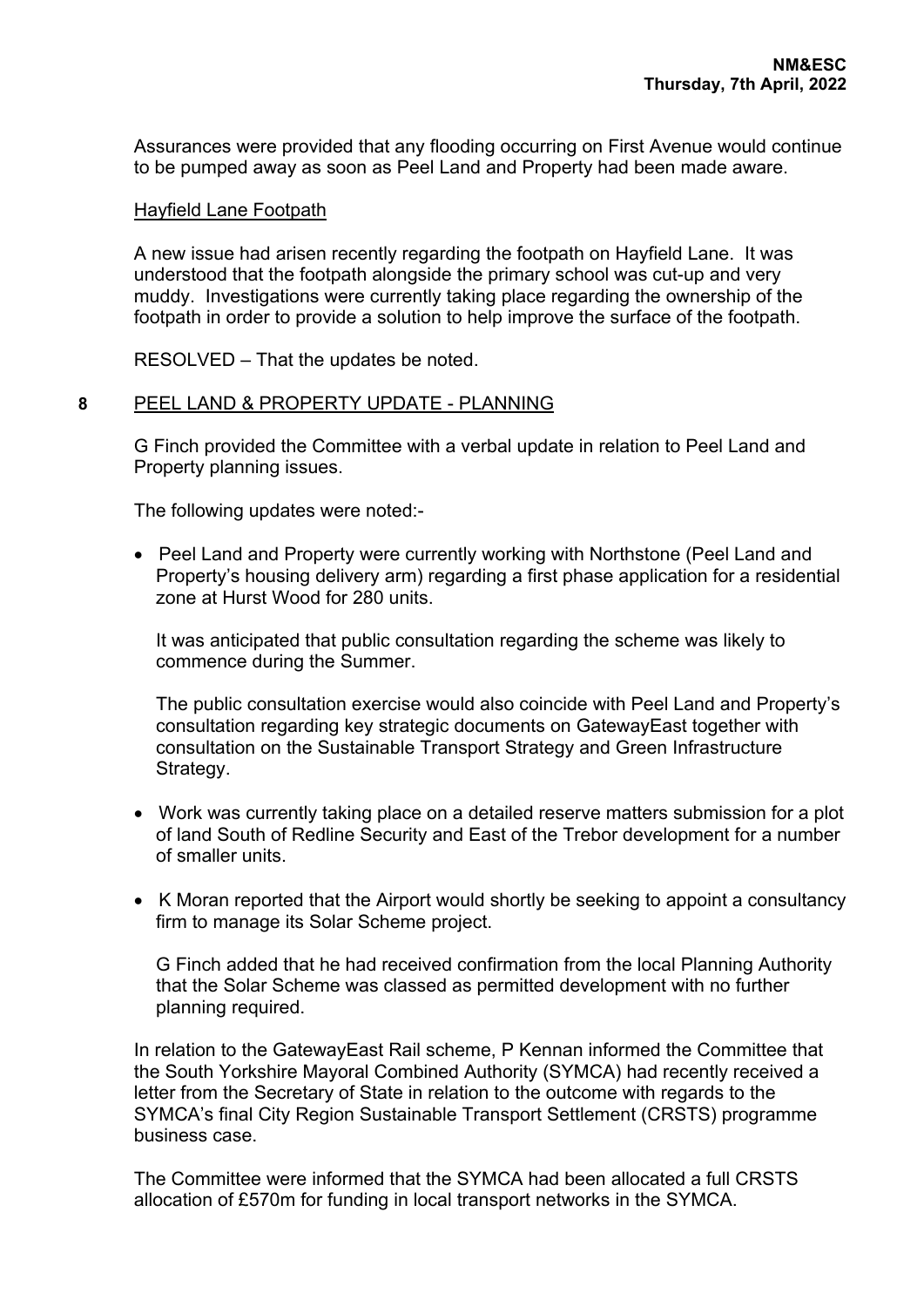Assurances were provided that any flooding occurring on First Avenue would continue to be pumped away as soon as Peel Land and Property had been made aware.

## Hayfield Lane Footpath

A new issue had arisen recently regarding the footpath on Hayfield Lane. It was understood that the footpath alongside the primary school was cut-up and very muddy. Investigations were currently taking place regarding the ownership of the footpath in order to provide a solution to help improve the surface of the footpath.

RESOLVED – That the updates be noted.

## **8** PEEL LAND & PROPERTY UPDATE - PLANNING

G Finch provided the Committee with a verbal update in relation to Peel Land and Property planning issues.

The following updates were noted:-

• Peel Land and Property were currently working with Northstone (Peel Land and Property's housing delivery arm) regarding a first phase application for a residential zone at Hurst Wood for 280 units.

It was anticipated that public consultation regarding the scheme was likely to commence during the Summer.

The public consultation exercise would also coincide with Peel Land and Property's consultation regarding key strategic documents on GatewayEast together with consultation on the Sustainable Transport Strategy and Green Infrastructure Strategy.

- Work was currently taking place on a detailed reserve matters submission for a plot of land South of Redline Security and East of the Trebor development for a number of smaller units.
- K Moran reported that the Airport would shortly be seeking to appoint a consultancy firm to manage its Solar Scheme project.

G Finch added that he had received confirmation from the local Planning Authority that the Solar Scheme was classed as permitted development with no further planning required.

In relation to the GatewayEast Rail scheme, P Kennan informed the Committee that the South Yorkshire Mayoral Combined Authority (SYMCA) had recently received a letter from the Secretary of State in relation to the outcome with regards to the SYMCA's final City Region Sustainable Transport Settlement (CRSTS) programme business case.

The Committee were informed that the SYMCA had been allocated a full CRSTS allocation of £570m for funding in local transport networks in the SYMCA.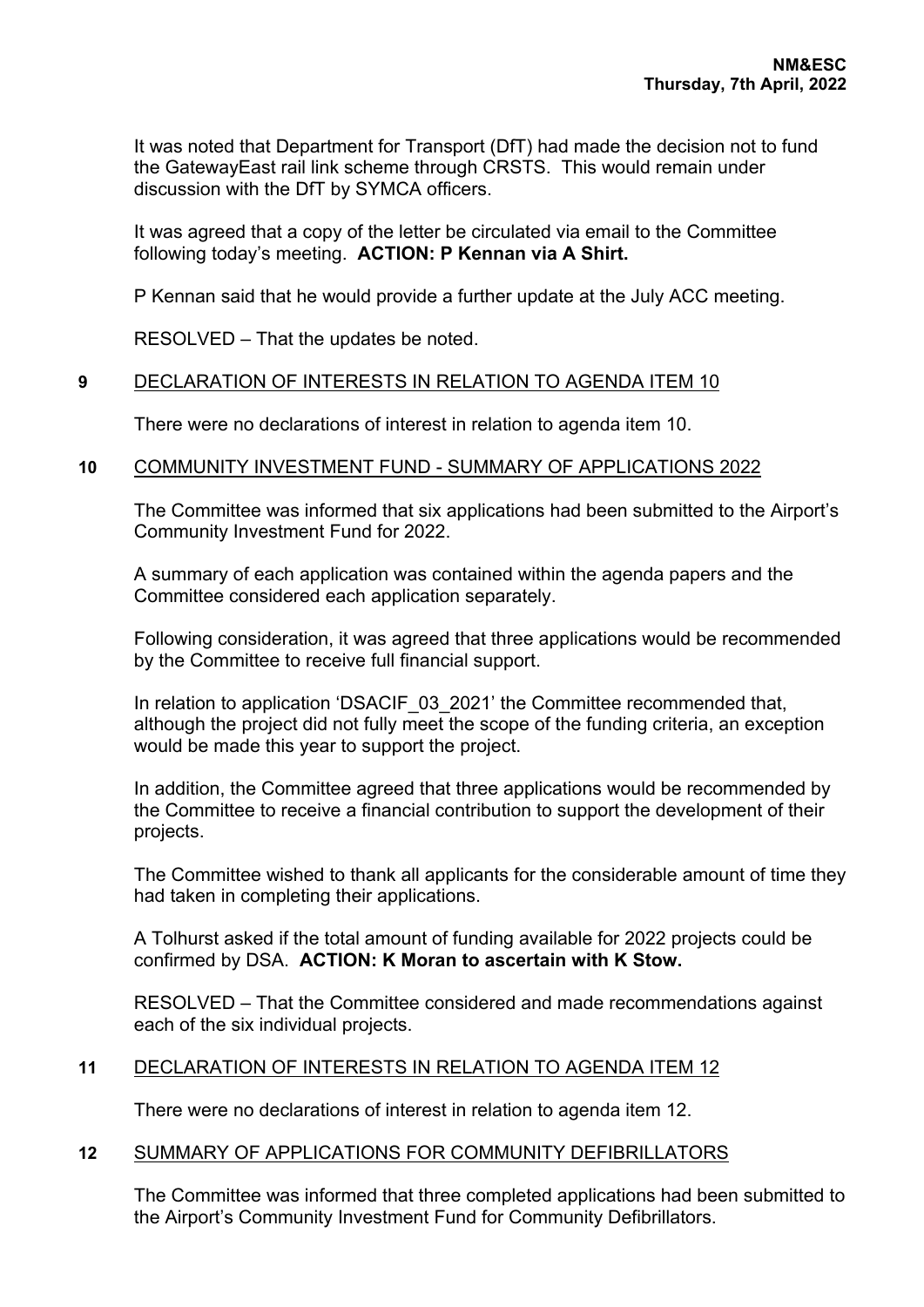It was noted that Department for Transport (DfT) had made the decision not to fund the GatewayEast rail link scheme through CRSTS. This would remain under discussion with the DfT by SYMCA officers.

It was agreed that a copy of the letter be circulated via email to the Committee following today's meeting. **ACTION: P Kennan via A Shirt.**

P Kennan said that he would provide a further update at the July ACC meeting.

RESOLVED – That the updates be noted.

## **9** DECLARATION OF INTERESTS IN RELATION TO AGENDA ITEM 10

There were no declarations of interest in relation to agenda item 10.

## **10** COMMUNITY INVESTMENT FUND - SUMMARY OF APPLICATIONS 2022

The Committee was informed that six applications had been submitted to the Airport's Community Investment Fund for 2022.

A summary of each application was contained within the agenda papers and the Committee considered each application separately.

Following consideration, it was agreed that three applications would be recommended by the Committee to receive full financial support.

In relation to application 'DSACIF 03 2021' the Committee recommended that, although the project did not fully meet the scope of the funding criteria, an exception would be made this year to support the project.

In addition, the Committee agreed that three applications would be recommended by the Committee to receive a financial contribution to support the development of their projects.

The Committee wished to thank all applicants for the considerable amount of time they had taken in completing their applications.

A Tolhurst asked if the total amount of funding available for 2022 projects could be confirmed by DSA. **ACTION: K Moran to ascertain with K Stow.**

RESOLVED – That the Committee considered and made recommendations against each of the six individual projects.

## **11** DECLARATION OF INTERESTS IN RELATION TO AGENDA ITEM 12

There were no declarations of interest in relation to agenda item 12.

#### **12** SUMMARY OF APPLICATIONS FOR COMMUNITY DEFIBRILLATORS

The Committee was informed that three completed applications had been submitted to the Airport's Community Investment Fund for Community Defibrillators.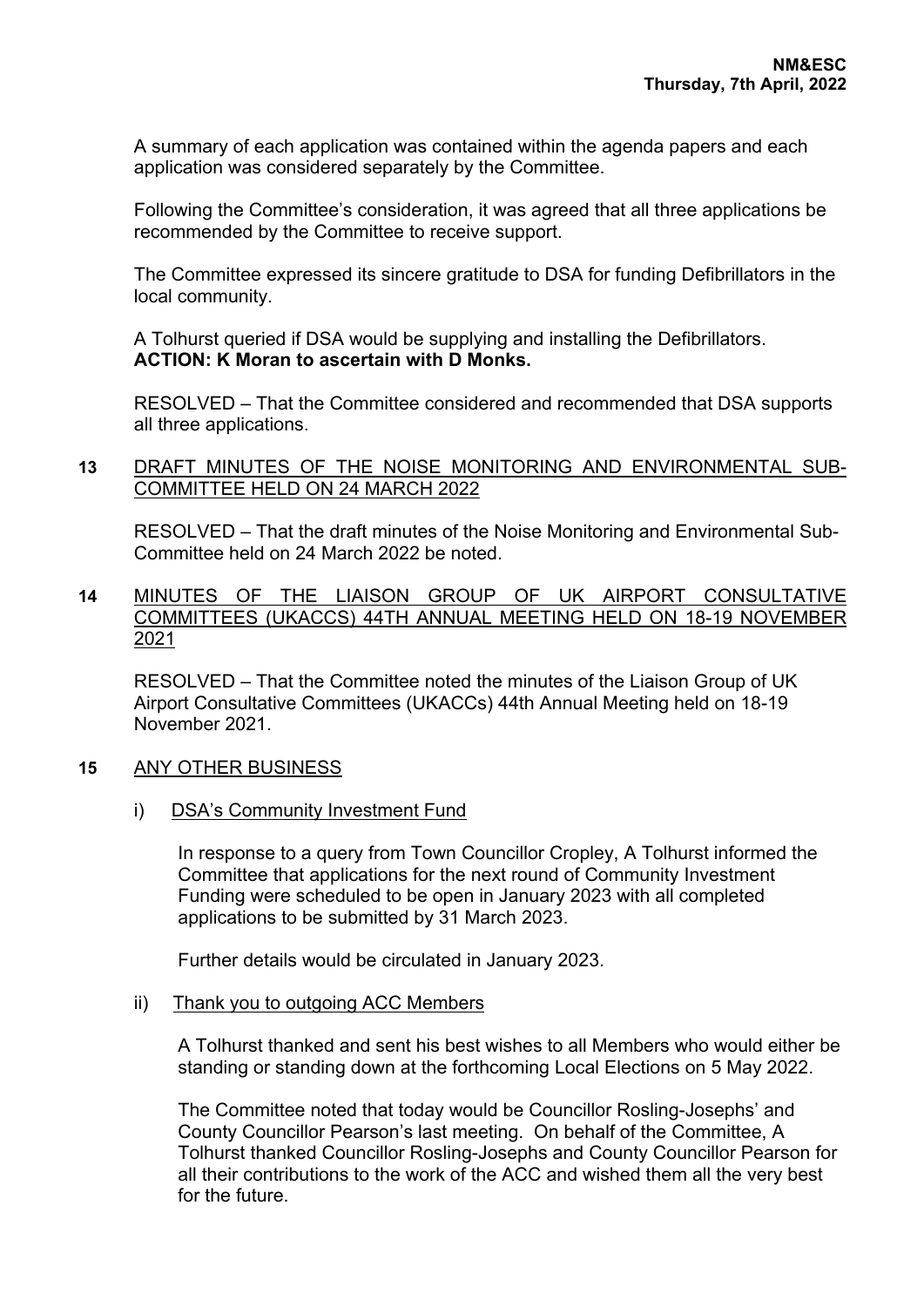A summary of each application was contained within the agenda papers and each application was considered separately by the Committee.

Following the Committee's consideration, it was agreed that all three applications be recommended by the Committee to receive support.

The Committee expressed its sincere gratitude to DSA for funding Defibrillators in the local community.

A Tolhurst queried if DSA would be supplying and installing the Defibrillators. **ACTION: K Moran to ascertain with D Monks.**

RESOLVED – That the Committee considered and recommended that DSA supports all three applications.

## **13** DRAFT MINUTES OF THE NOISE MONITORING AND ENVIRONMENTAL SUB-COMMITTEE HELD ON 24 MARCH 2022

RESOLVED – That the draft minutes of the Noise Monitoring and Environmental Sub-Committee held on 24 March 2022 be noted.

**14** MINUTES OF THE LIAISON GROUP OF UK AIRPORT CONSULTATIVE COMMITTEES (UKACCS) 44TH ANNUAL MEETING HELD ON 18-19 NOVEMBER 2021

RESOLVED – That the Committee noted the minutes of the Liaison Group of UK Airport Consultative Committees (UKACCs) 44th Annual Meeting held on 18-19 November 2021.

## **15** ANY OTHER BUSINESS

i) DSA's Community Investment Fund

In response to a query from Town Councillor Cropley, A Tolhurst informed the Committee that applications for the next round of Community Investment Funding were scheduled to be open in January 2023 with all completed applications to be submitted by 31 March 2023.

Further details would be circulated in January 2023.

ii) Thank you to outgoing ACC Members

A Tolhurst thanked and sent his best wishes to all Members who would either be standing or standing down at the forthcoming Local Elections on 5 May 2022.

The Committee noted that today would be Councillor Rosling-Josephs' and County Councillor Pearson's last meeting. On behalf of the Committee, A Tolhurst thanked Councillor Rosling-Josephs and County Councillor Pearson for all their contributions to the work of the ACC and wished them all the very best for the future.